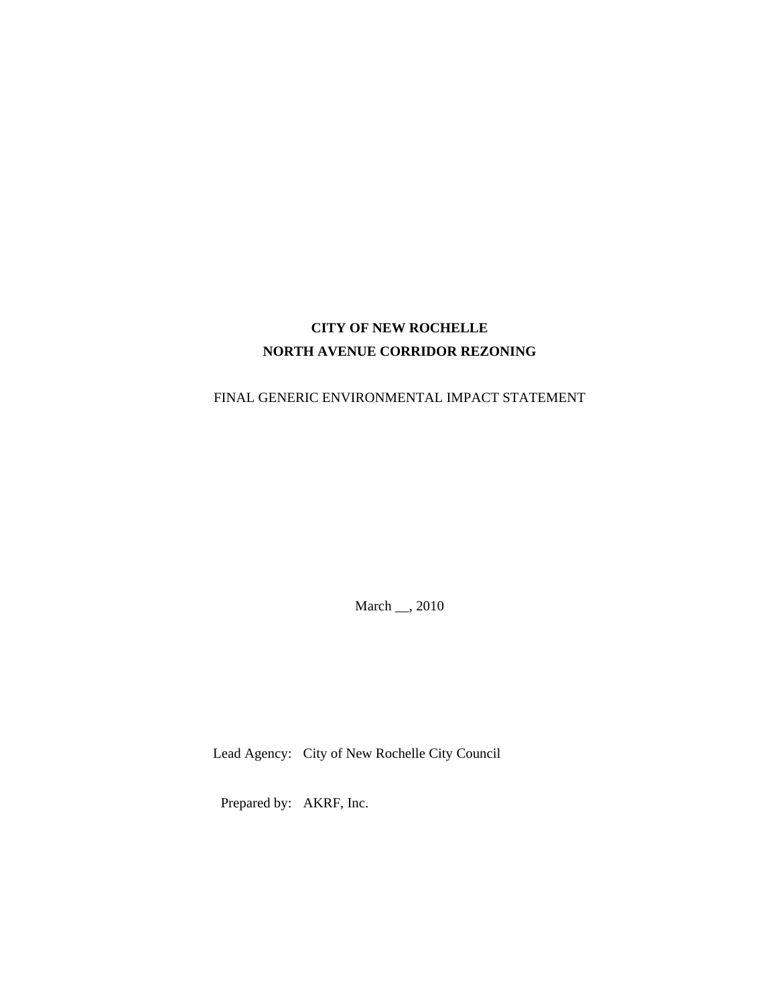# **CITY OF NEW ROCHELLE NORTH AVENUE CORRIDOR REZONING**

FINAL GENERIC ENVIRONMENTAL IMPACT STATEMENT

March \_\_, 2010

Lead Agency: City of New Rochelle City Council

Prepared by: AKRF, Inc.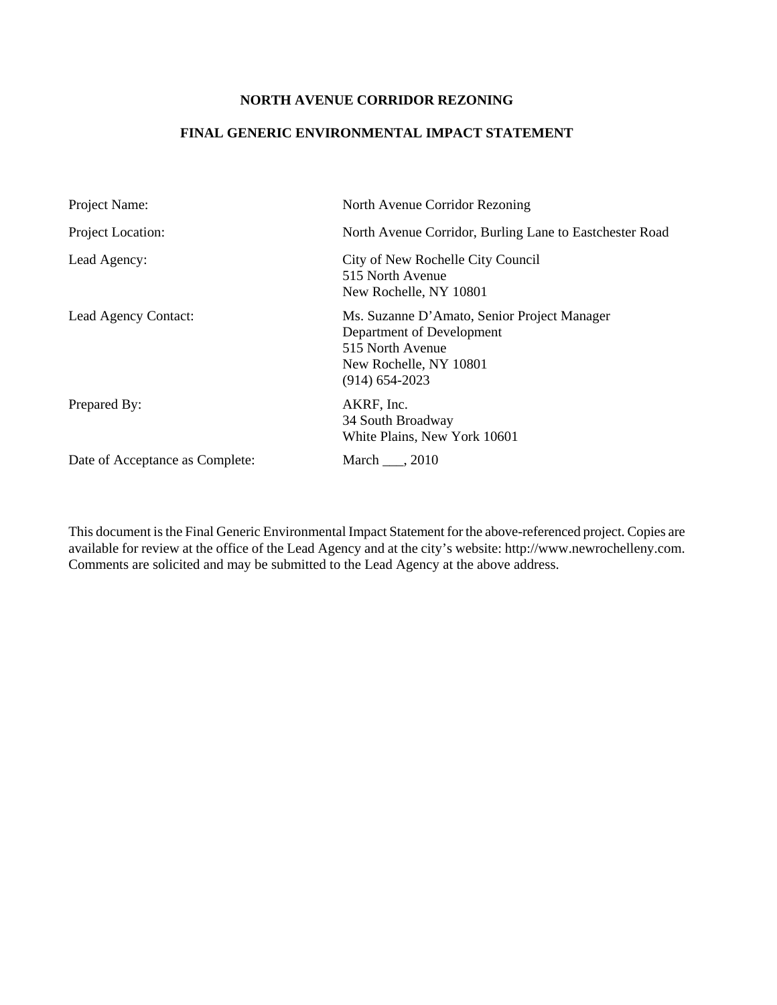### **NORTH AVENUE CORRIDOR REZONING**

### **FINAL GENERIC ENVIRONMENTAL IMPACT STATEMENT**

| Project Name:                   | North Avenue Corridor Rezoning                                                                                                             |
|---------------------------------|--------------------------------------------------------------------------------------------------------------------------------------------|
| Project Location:               | North Avenue Corridor, Burling Lane to Eastchester Road                                                                                    |
| Lead Agency:                    | City of New Rochelle City Council<br>515 North Avenue<br>New Rochelle, NY 10801                                                            |
| Lead Agency Contact:            | Ms. Suzanne D'Amato, Senior Project Manager<br>Department of Development<br>515 North Avenue<br>New Rochelle, NY 10801<br>$(914)$ 654-2023 |
| Prepared By:                    | AKRF, Inc.<br>34 South Broadway<br>White Plains, New York 10601                                                                            |
| Date of Acceptance as Complete: | March , 2010                                                                                                                               |

This document is the Final Generic Environmental Impact Statement for the above-referenced project. Copies are available for review at the office of the Lead Agency and at the city's website: http://www.newrochelleny.com. Comments are solicited and may be submitted to the Lead Agency at the above address.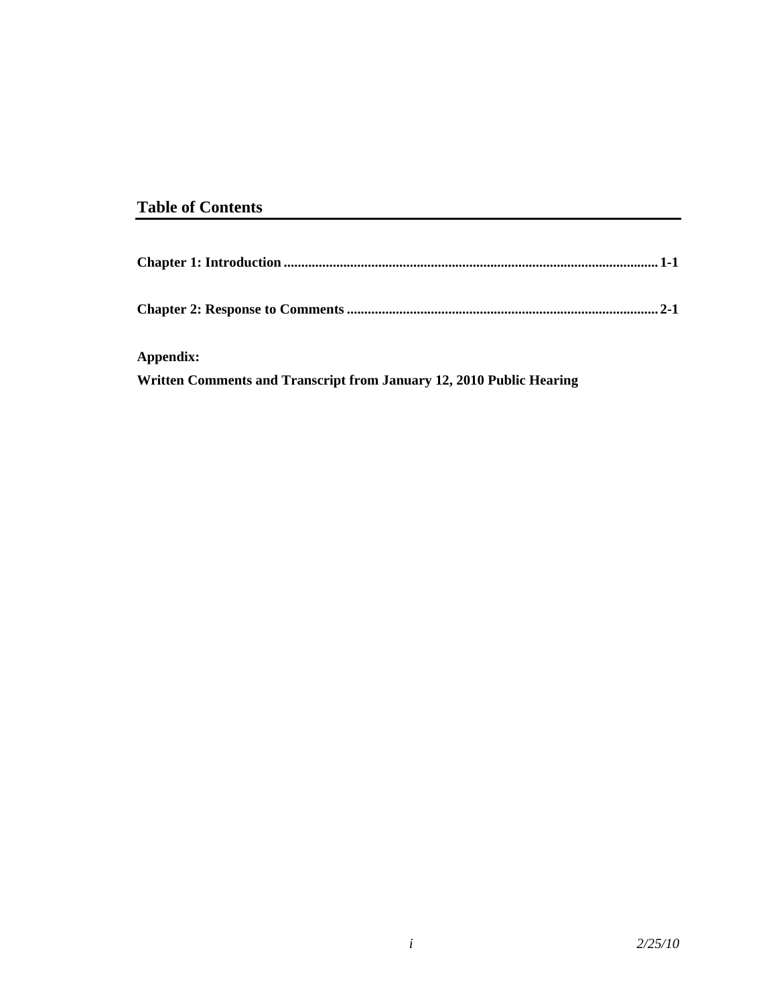# **Table of Contents**

| Appendix:                                                            |  |
|----------------------------------------------------------------------|--|
| Written Comments and Transcript from January 12, 2010 Public Hearing |  |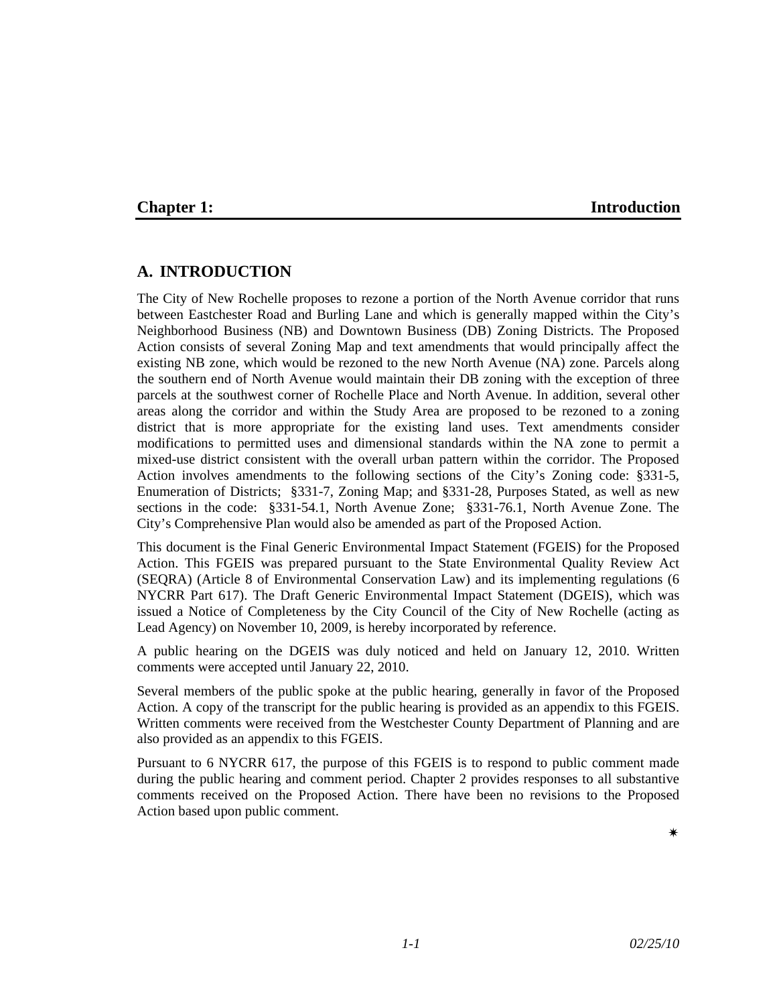### **Chapter 1:** Introduction

## **A. INTRODUCTION**

The City of New Rochelle proposes to rezone a portion of the North Avenue corridor that runs between Eastchester Road and Burling Lane and which is generally mapped within the City's Neighborhood Business (NB) and Downtown Business (DB) Zoning Districts. The Proposed Action consists of several Zoning Map and text amendments that would principally affect the existing NB zone, which would be rezoned to the new North Avenue (NA) zone. Parcels along the southern end of North Avenue would maintain their DB zoning with the exception of three parcels at the southwest corner of Rochelle Place and North Avenue. In addition, several other areas along the corridor and within the Study Area are proposed to be rezoned to a zoning district that is more appropriate for the existing land uses. Text amendments consider modifications to permitted uses and dimensional standards within the NA zone to permit a mixed-use district consistent with the overall urban pattern within the corridor. The Proposed Action involves amendments to the following sections of the City's Zoning code: §331-5, Enumeration of Districts; §331-7, Zoning Map; and §331-28, Purposes Stated, as well as new sections in the code: §331-54.1, North Avenue Zone; §331-76.1, North Avenue Zone. The City's Comprehensive Plan would also be amended as part of the Proposed Action.

This document is the Final Generic Environmental Impact Statement (FGEIS) for the Proposed Action. This FGEIS was prepared pursuant to the State Environmental Quality Review Act (SEQRA) (Article 8 of Environmental Conservation Law) and its implementing regulations (6 NYCRR Part 617). The Draft Generic Environmental Impact Statement (DGEIS), which was issued a Notice of Completeness by the City Council of the City of New Rochelle (acting as Lead Agency) on November 10, 2009, is hereby incorporated by reference.

A public hearing on the DGEIS was duly noticed and held on January 12, 2010. Written comments were accepted until January 22, 2010.

Several members of the public spoke at the public hearing, generally in favor of the Proposed Action. A copy of the transcript for the public hearing is provided as an appendix to this FGEIS. Written comments were received from the Westchester County Department of Planning and are also provided as an appendix to this FGEIS.

Pursuant to 6 NYCRR 617, the purpose of this FGEIS is to respond to public comment made during the public hearing and comment period. Chapter 2 provides responses to all substantive comments received on the Proposed Action. There have been no revisions to the Proposed Action based upon public comment.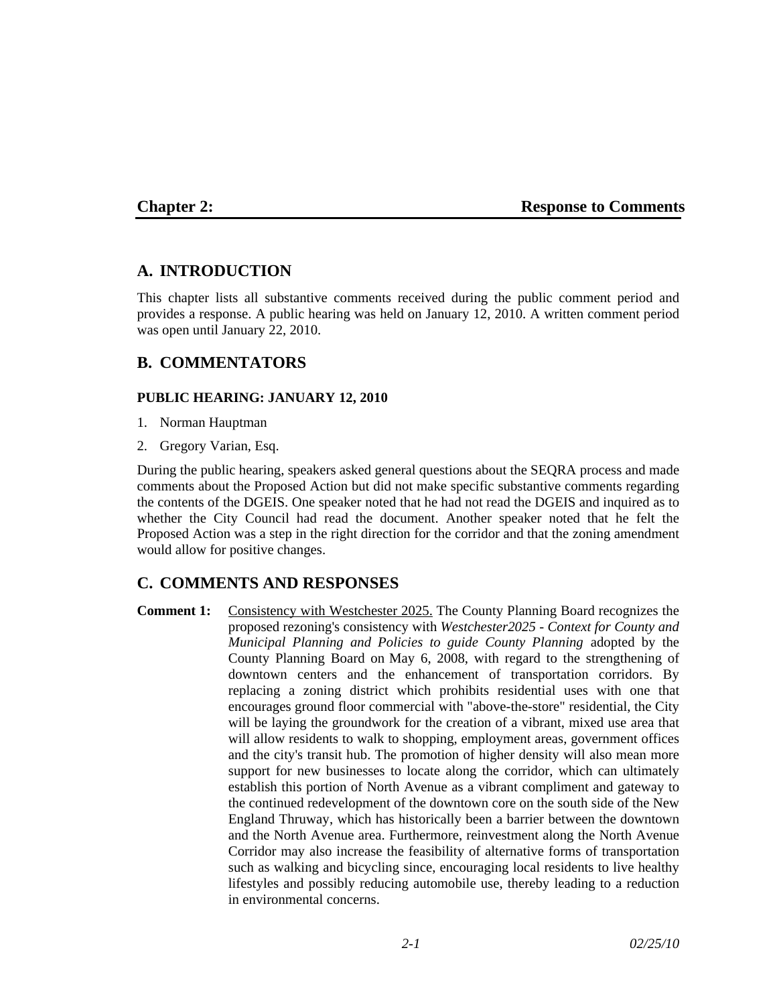### **Chapter 2: Response to Comments**

## **A. INTRODUCTION**

This chapter lists all substantive comments received during the public comment period and provides a response. A public hearing was held on January 12, 2010. A written comment period was open until January 22, 2010.

## **B. COMMENTATORS**

### **PUBLIC HEARING: JANUARY 12, 2010**

- 1. Norman Hauptman
- 2. Gregory Varian, Esq.

During the public hearing, speakers asked general questions about the SEQRA process and made comments about the Proposed Action but did not make specific substantive comments regarding the contents of the DGEIS. One speaker noted that he had not read the DGEIS and inquired as to whether the City Council had read the document. Another speaker noted that he felt the Proposed Action was a step in the right direction for the corridor and that the zoning amendment would allow for positive changes.

## **C. COMMENTS AND RESPONSES**

**Comment 1:** Consistency with Westchester 2025. The County Planning Board recognizes the proposed rezoning's consistency with *Westchester2025 - Context for County and Municipal Planning and Policies to guide County Planning* adopted by the County Planning Board on May 6, 2008, with regard to the strengthening of downtown centers and the enhancement of transportation corridors. By replacing a zoning district which prohibits residential uses with one that encourages ground floor commercial with "above-the-store" residential, the City will be laying the groundwork for the creation of a vibrant, mixed use area that will allow residents to walk to shopping, employment areas, government offices and the city's transit hub. The promotion of higher density will also mean more support for new businesses to locate along the corridor, which can ultimately establish this portion of North Avenue as a vibrant compliment and gateway to the continued redevelopment of the downtown core on the south side of the New England Thruway, which has historically been a barrier between the downtown and the North Avenue area. Furthermore, reinvestment along the North Avenue Corridor may also increase the feasibility of alternative forms of transportation such as walking and bicycling since, encouraging local residents to live healthy lifestyles and possibly reducing automobile use, thereby leading to a reduction in environmental concerns.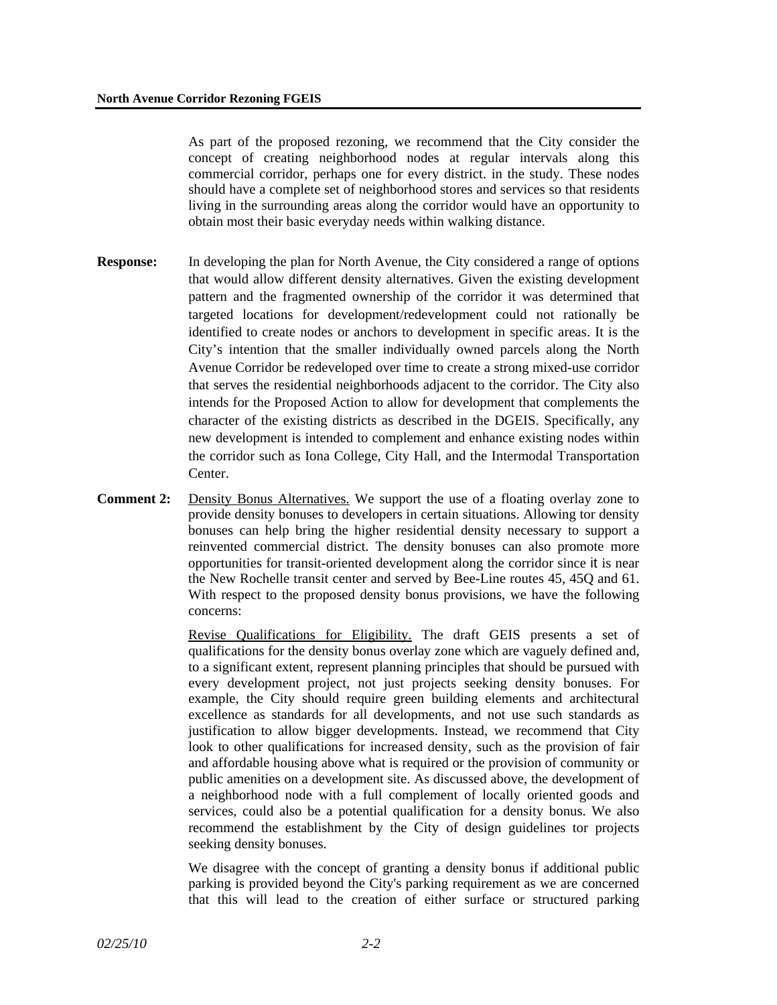As part of the proposed rezoning, we recommend that the City consider the concept of creating neighborhood nodes at regular intervals along this commercial corridor, perhaps one for every district. in the study. These nodes should have a complete set of neighborhood stores and services so that residents living in the surrounding areas along the corridor would have an opportunity to obtain most their basic everyday needs within walking distance.

- **Response:** In developing the plan for North Avenue, the City considered a range of options that would allow different density alternatives. Given the existing development pattern and the fragmented ownership of the corridor it was determined that targeted locations for development/redevelopment could not rationally be identified to create nodes or anchors to development in specific areas. It is the City's intention that the smaller individually owned parcels along the North Avenue Corridor be redeveloped over time to create a strong mixed-use corridor that serves the residential neighborhoods adjacent to the corridor. The City also intends for the Proposed Action to allow for development that complements the character of the existing districts as described in the DGEIS. Specifically, any new development is intended to complement and enhance existing nodes within the corridor such as Iona College, City Hall, and the Intermodal Transportation Center.
- **Comment 2:** Density Bonus Alternatives. We support the use of a floating overlay zone to provide density bonuses to developers in certain situations. Allowing tor density bonuses can help bring the higher residential density necessary to support a reinvented commercial district. The density bonuses can also promote more opportunities for transit-oriented development along the corridor since it is near the New Rochelle transit center and served by Bee-Line routes 45, 45Q and 61. With respect to the proposed density bonus provisions, we have the following concerns:

Revise Qualifications for Eligibility. The draft GEIS presents a set of qualifications for the density bonus overlay zone which are vaguely defined and, to a significant extent, represent planning principles that should be pursued with every development project, not just projects seeking density bonuses. For example, the City should require green building elements and architectural excellence as standards for all developments, and not use such standards as justification to allow bigger developments. Instead, we recommend that City look to other qualifications for increased density, such as the provision of fair and affordable housing above what is required or the provision of community or public amenities on a development site. As discussed above, the development of a neighborhood node with a full complement of locally oriented goods and services, could also be a potential qualification for a density bonus. We also recommend the establishment by the City of design guidelines tor projects seeking density bonuses.

We disagree with the concept of granting a density bonus if additional public parking is provided beyond the City's parking requirement as we are concerned that this will lead to the creation of either surface or structured parking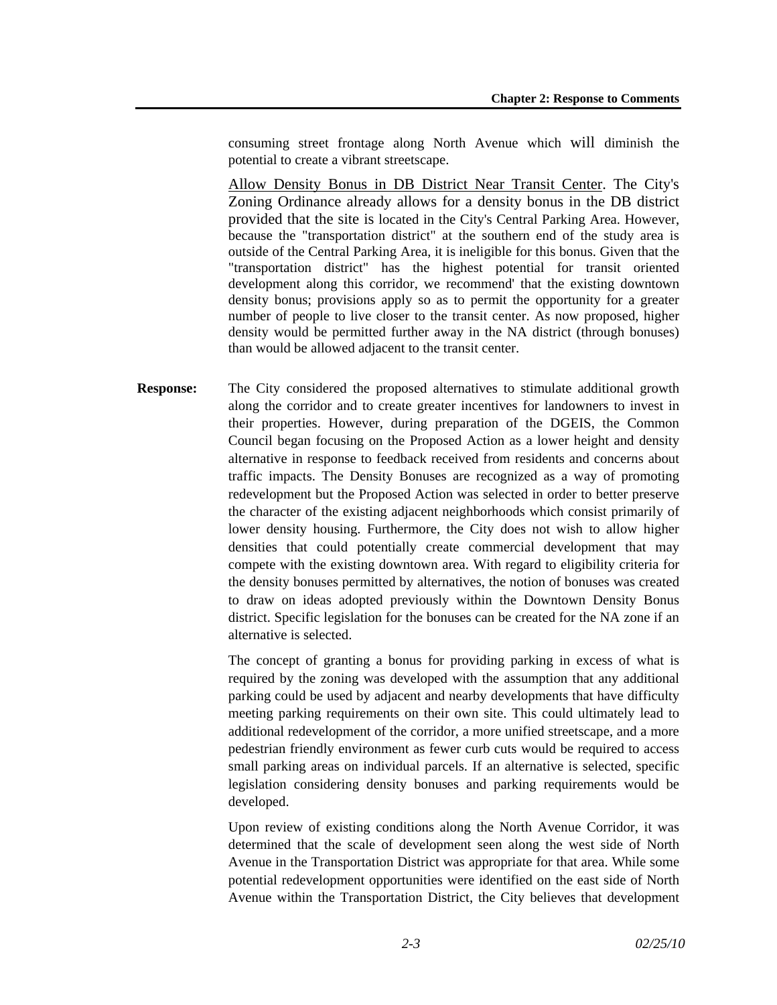consuming street frontage along North Avenue which will diminish the potential to create a vibrant streetscape.

Allow Density Bonus in DB District Near Transit Center. The City's Zoning Ordinance already allows for a density bonus in the DB district provided that the site is located in the City's Central Parking Area. However, because the "transportation district" at the southern end of the study area is outside of the Central Parking Area, it is ineligible for this bonus. Given that the "transportation district" has the highest potential for transit oriented development along this corridor, we recommend' that the existing downtown density bonus; provisions apply so as to permit the opportunity for a greater number of people to live closer to the transit center. As now proposed, higher density would be permitted further away in the NA district (through bonuses) than would be allowed adjacent to the transit center.

**Response:** The City considered the proposed alternatives to stimulate additional growth along the corridor and to create greater incentives for landowners to invest in their properties. However, during preparation of the DGEIS, the Common Council began focusing on the Proposed Action as a lower height and density alternative in response to feedback received from residents and concerns about traffic impacts. The Density Bonuses are recognized as a way of promoting redevelopment but the Proposed Action was selected in order to better preserve the character of the existing adjacent neighborhoods which consist primarily of lower density housing. Furthermore, the City does not wish to allow higher densities that could potentially create commercial development that may compete with the existing downtown area. With regard to eligibility criteria for the density bonuses permitted by alternatives, the notion of bonuses was created to draw on ideas adopted previously within the Downtown Density Bonus district. Specific legislation for the bonuses can be created for the NA zone if an alternative is selected.

> The concept of granting a bonus for providing parking in excess of what is required by the zoning was developed with the assumption that any additional parking could be used by adjacent and nearby developments that have difficulty meeting parking requirements on their own site. This could ultimately lead to additional redevelopment of the corridor, a more unified streetscape, and a more pedestrian friendly environment as fewer curb cuts would be required to access small parking areas on individual parcels. If an alternative is selected, specific legislation considering density bonuses and parking requirements would be developed.

> Upon review of existing conditions along the North Avenue Corridor, it was determined that the scale of development seen along the west side of North Avenue in the Transportation District was appropriate for that area. While some potential redevelopment opportunities were identified on the east side of North Avenue within the Transportation District, the City believes that development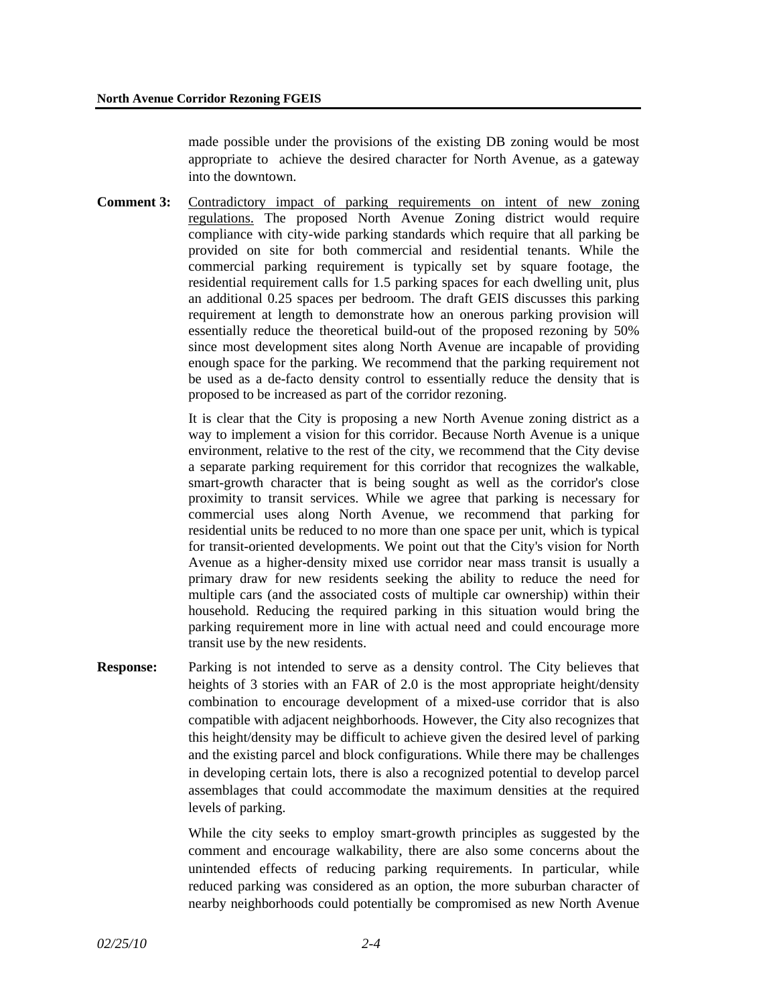made possible under the provisions of the existing DB zoning would be most appropriate to achieve the desired character for North Avenue, as a gateway into the downtown.

**Comment 3:** Contradictory impact of parking requirements on intent of new zoning regulations. The proposed North Avenue Zoning district would require compliance with city-wide parking standards which require that all parking be provided on site for both commercial and residential tenants. While the commercial parking requirement is typically set by square footage, the residential requirement calls for 1.5 parking spaces for each dwelling unit, plus an additional 0.25 spaces per bedroom. The draft GEIS discusses this parking requirement at length to demonstrate how an onerous parking provision will essentially reduce the theoretical build-out of the proposed rezoning by 50% since most development sites along North Avenue are incapable of providing enough space for the parking. We recommend that the parking requirement not be used as a de-facto density control to essentially reduce the density that is proposed to be increased as part of the corridor rezoning.

> It is clear that the City is proposing a new North Avenue zoning district as a way to implement a vision for this corridor. Because North Avenue is a unique environment, relative to the rest of the city, we recommend that the City devise a separate parking requirement for this corridor that recognizes the walkable, smart-growth character that is being sought as well as the corridor's close proximity to transit services. While we agree that parking is necessary for commercial uses along North Avenue, we recommend that parking for residential units be reduced to no more than one space per unit, which is typical for transit-oriented developments. We point out that the City's vision for North Avenue as a higher-density mixed use corridor near mass transit is usually a primary draw for new residents seeking the ability to reduce the need for multiple cars (and the associated costs of multiple car ownership) within their household. Reducing the required parking in this situation would bring the parking requirement more in line with actual need and could encourage more transit use by the new residents.

**Response:** Parking is not intended to serve as a density control. The City believes that heights of 3 stories with an FAR of 2.0 is the most appropriate height/density combination to encourage development of a mixed-use corridor that is also compatible with adjacent neighborhoods. However, the City also recognizes that this height/density may be difficult to achieve given the desired level of parking and the existing parcel and block configurations. While there may be challenges in developing certain lots, there is also a recognized potential to develop parcel assemblages that could accommodate the maximum densities at the required levels of parking.

> While the city seeks to employ smart-growth principles as suggested by the comment and encourage walkability, there are also some concerns about the unintended effects of reducing parking requirements. In particular, while reduced parking was considered as an option, the more suburban character of nearby neighborhoods could potentially be compromised as new North Avenue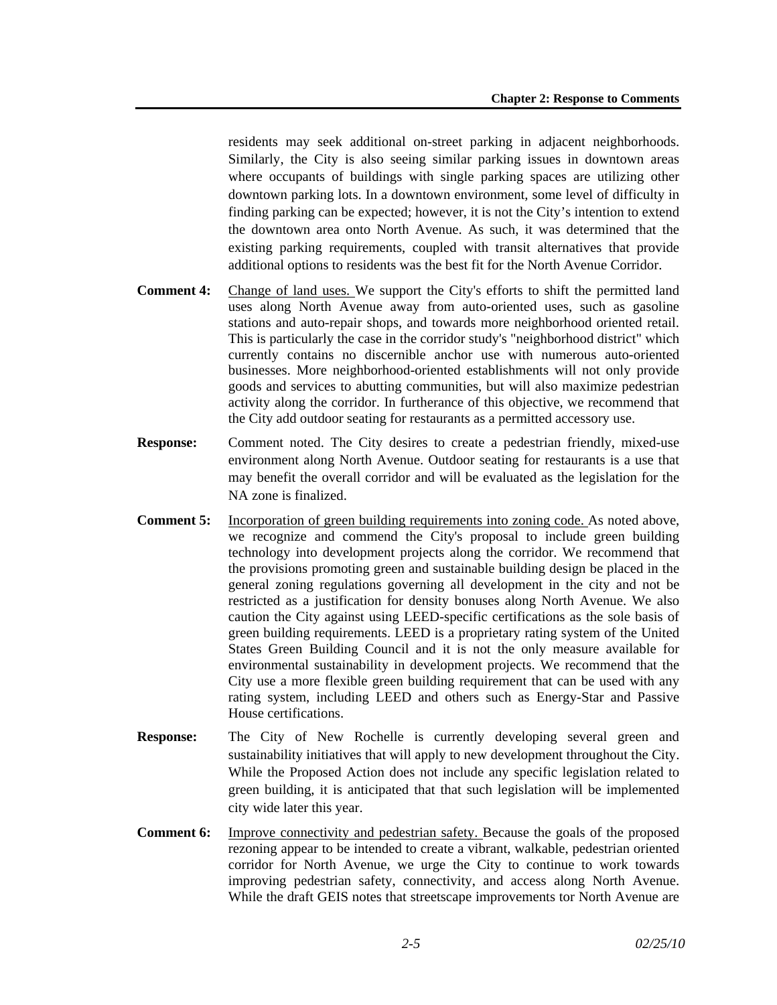residents may seek additional on-street parking in adjacent neighborhoods. Similarly, the City is also seeing similar parking issues in downtown areas where occupants of buildings with single parking spaces are utilizing other downtown parking lots. In a downtown environment, some level of difficulty in finding parking can be expected; however, it is not the City's intention to extend the downtown area onto North Avenue. As such, it was determined that the existing parking requirements, coupled with transit alternatives that provide additional options to residents was the best fit for the North Avenue Corridor.

- **Comment 4:** Change of land uses. We support the City's efforts to shift the permitted land uses along North Avenue away from auto-oriented uses, such as gasoline stations and auto-repair shops, and towards more neighborhood oriented retail. This is particularly the case in the corridor study's "neighborhood district" which currently contains no discernible anchor use with numerous auto-oriented businesses. More neighborhood-oriented establishments will not only provide goods and services to abutting communities, but will also maximize pedestrian activity along the corridor. In furtherance of this objective, we recommend that the City add outdoor seating for restaurants as a permitted accessory use.
- **Response:** Comment noted. The City desires to create a pedestrian friendly, mixed-use environment along North Avenue. Outdoor seating for restaurants is a use that may benefit the overall corridor and will be evaluated as the legislation for the NA zone is finalized.
- **Comment 5:** Incorporation of green building requirements into zoning code. As noted above, we recognize and commend the City's proposal to include green building technology into development projects along the corridor. We recommend that the provisions promoting green and sustainable building design be placed in the general zoning regulations governing all development in the city and not be restricted as a justification for density bonuses along North Avenue. We also caution the City against using LEED-specific certifications as the sole basis of green building requirements. LEED is a proprietary rating system of the United States Green Building Council and it is not the only measure available for environmental sustainability in development projects. We recommend that the City use a more flexible green building requirement that can be used with any rating system, including LEED and others such as Energy-Star and Passive House certifications.
- **Response:** The City of New Rochelle is currently developing several green and sustainability initiatives that will apply to new development throughout the City. While the Proposed Action does not include any specific legislation related to green building, it is anticipated that that such legislation will be implemented city wide later this year.
- **Comment 6:** Improve connectivity and pedestrian safety. Because the goals of the proposed rezoning appear to be intended to create a vibrant, walkable, pedestrian oriented corridor for North Avenue, we urge the City to continue to work towards improving pedestrian safety, connectivity, and access along North Avenue. While the draft GEIS notes that streetscape improvements tor North Avenue are